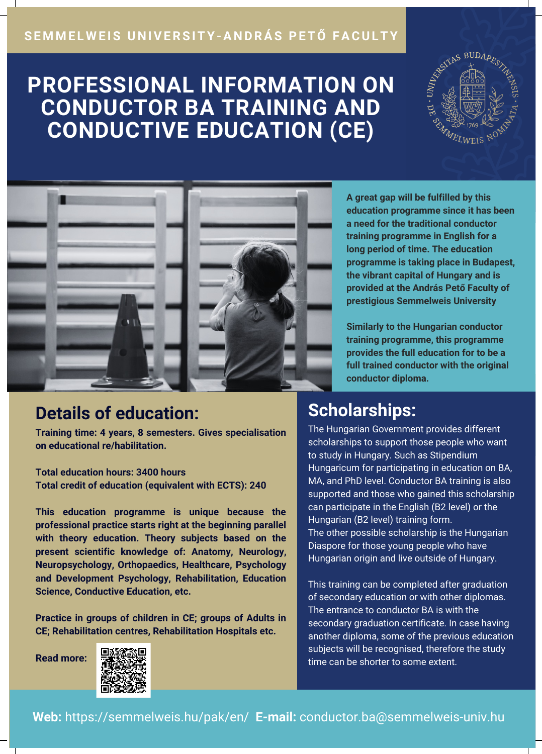### **SE M M E L W E IS U N IVERSITY-A N DRÁS PETŐ FACULTY**

# **PROFESSIONAL INFORMATION ON CONDUCTOR BA TRAINING AND CONDUCTIVE EDUCATION (CE)**





## **Details of education:**

**Training time: 4 years, 8 semesters. Gives specialisation on educational re/habilitation.**

**Total education hours: 3400 hours Total credit of education (equivalent with ECTS): 240**

**This education programme is unique because the professional practice starts right at the beginning parallel with theory education. Theory subjects based on the present scientific knowledge of: Anatomy, Neurology, Neuropsychology, Orthopaedics, Healthcare, Psychology and Development Psychology, Rehabilitation, Education Science, Conductive Education, etc.**

**Practice in groups of children in CE; groups of Adults in CE; Rehabilitation centres, Rehabilitation Hospitals etc.**

**A great gap will be fulfilled by this education programme since it has been a need for the traditional conductor training programme in English for a long period of time. The education programme is taking place in Budapest, the vibrant capital of Hungary and is provided at the András Pető Faculty of prestigious Semmelweis University**

**Similarly to the Hungarian conductor training programme, this programme provides the full education for to be a full trained conductor with the original conductor diploma.**

### **Scholarships:**

The Hungarian Government provides different scholarships to support those people who want to study in Hungary. Such as Stipendium Hungaricum for participating in education on BA, MA, and PhD level. Conductor BA training is also supported and those who gained this scholarship can participate in the English (B2 level) or the Hungarian (B2 level) training form. The other possible scholarship is the Hungarian Diaspore for those young people who have Hungarian origin and live outside of Hungary.

This training can be completed after graduation of secondary education or with other diplomas. The entrance to conductor BA is with the secondary graduation certificate. In case having another diploma, some of the previous education subjects will be recognised, therefore the study time can be shorter to some extent.

**Read more:**



**Web:** https://semmelweis.hu/pak/en/ **E-mail:** conductor.ba@semmelweis-univ.hu